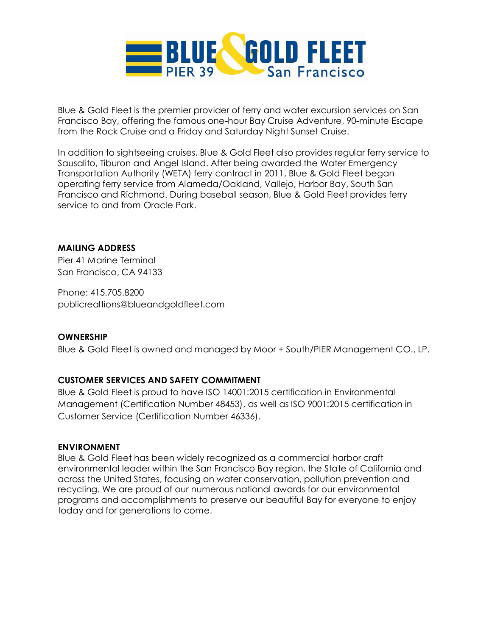

Blue & Gold Fleet is the premier provider of ferry and water excursion services on San Francisco Bay, offering the famous one-hour Bay Cruise Adventure, 90-minute Escape from the Rock Cruise and a Friday and Saturday Night Sunset Cruise.

In addition to sightseeing cruises, Blue & Gold Fleet also provides regular ferry service to Sausalito, Tiburon and Angel Island. After being awarded the Water Emergency Transportation Authority (WETA) ferry contract in 2011, Blue & Gold Fleet began operating ferry service from Alameda/Oakland, Vallejo, Harbor Bay, South San Francisco and Richmond. During baseball season, Blue & Gold Fleet provides ferry service to and from Oracle Park.

## **MAILING ADDRESS**

Pier 41 Marine Terminal San Francisco, CA 94133

Phone: 415.705.8200 publicrealtions@blueandgoldfleet.com

#### **OWNERSHIP**

Blue & Gold Fleet is owned and managed by Moor + South/PIER Management CO., LP.

#### **CUSTOMER SERVICES AND SAFETY COMMITMENT**

Blue & Gold Fleet is proud to have ISO 14001:2015 certification in Environmental Management (Certification Number 48453), as well as ISO 9001:2015 certification in Customer Service (Certification Number 46336).

#### **ENVIRONMENT**

Blue & Gold Fleet has been widely recognized as a commercial harbor craft environmental leader within the San Francisco Bay region, the State of California and across the United States, focusing on water conservation, pollution prevention and recycling. We are proud of our numerous national awards for our environmental programs and accomplishments to preserve our beautiful Bay for everyone to enjoy today and for generations to come.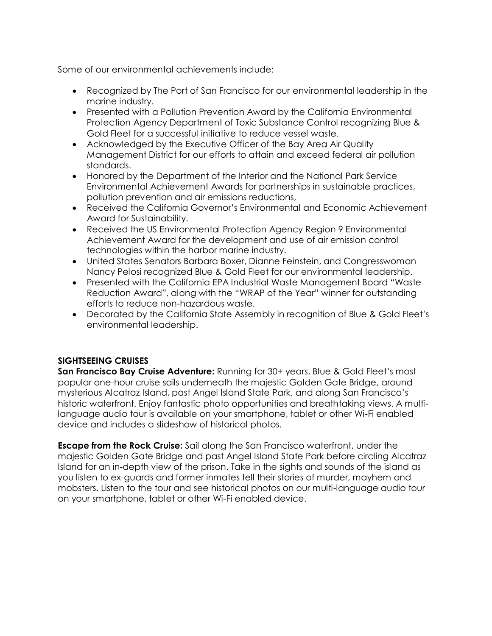Some of our environmental achievements include:

- Recognized by The Port of San Francisco for our environmental leadership in the marine industry.
- Presented with a Pollution Prevention Award by the California Environmental Protection Agency Department of Toxic Substance Control recognizing Blue & Gold Fleet for a successful initiative to reduce vessel waste.
- Acknowledged by the Executive Officer of the Bay Area Air Quality Management District for our efforts to attain and exceed federal air pollution standards.
- Honored by the Department of the Interior and the National Park Service Environmental Achievement Awards for partnerships in sustainable practices, pollution prevention and air emissions reductions,
- Received the California Governor's Environmental and Economic Achievement Award for Sustainability.
- Received the US Environmental Protection Agency Region 9 Environmental Achievement Award for the development and use of air emission control technologies within the harbor marine industry.
- United States Senators Barbara Boxer, Dianne Feinstein, and Congresswoman Nancy Pelosi recognized Blue & Gold Fleet for our environmental leadership.
- Presented with the California EPA Industrial Waste Management Board "Waste Reduction Award", along with the "WRAP of the Year" winner for outstanding efforts to reduce non-hazardous waste.
- Decorated by the California State Assembly in recognition of Blue & Gold Fleet's environmental leadership.

# **SIGHTSEEING CRUISES**

**San Francisco Bay Cruise Adventure:** Running for 30+ years, Blue & Gold Fleet's most popular one-hour cruise sails underneath the majestic Golden Gate Bridge, around mysterious Alcatraz Island, past Angel Island State Park, and along San Francisco's historic waterfront. Enjoy fantastic photo opportunities and breathtaking views. A multilanguage audio tour is available on your smartphone, tablet or other Wi-Fi enabled device and includes a slideshow of historical photos.

**Escape from the Rock Cruise:** Sail along the San Francisco waterfront, under the majestic Golden Gate Bridge and past Angel Island State Park before circling Alcatraz Island for an in-depth view of the prison. Take in the sights and sounds of the island as you listen to ex-guards and former inmates tell their stories of murder, mayhem and mobsters. Listen to the tour and see historical photos on our multi-language audio tour on your smartphone, tablet or other Wi-Fi enabled device.